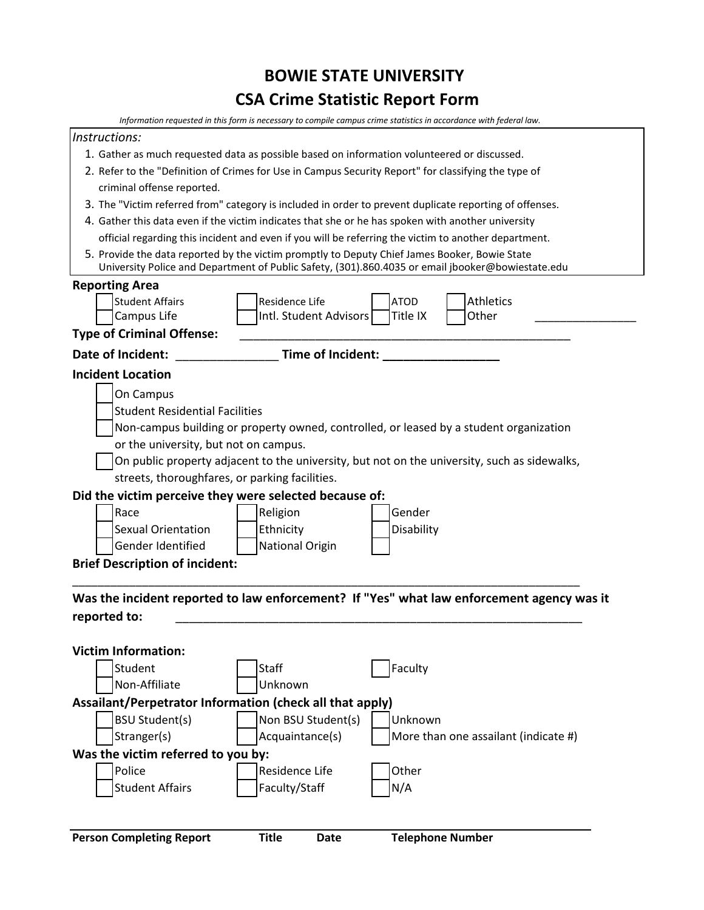## **BOWIE STATE UNIVERSITY CSA Crime Statistic Report Form**

| Information requested in this form is necessary to compile campus crime statistics in accordance with federal law.                                                                                 |
|----------------------------------------------------------------------------------------------------------------------------------------------------------------------------------------------------|
| Instructions:                                                                                                                                                                                      |
| 1. Gather as much requested data as possible based on information volunteered or discussed.                                                                                                        |
| 2. Refer to the "Definition of Crimes for Use in Campus Security Report" for classifying the type of                                                                                               |
| criminal offense reported.                                                                                                                                                                         |
| 3. The "Victim referred from" category is included in order to prevent duplicate reporting of offenses.                                                                                            |
| 4. Gather this data even if the victim indicates that she or he has spoken with another university                                                                                                 |
| official regarding this incident and even if you will be referring the victim to another department.                                                                                               |
| 5. Provide the data reported by the victim promptly to Deputy Chief James Booker, Bowie State<br>University Police and Department of Public Safety, (301).860.4035 or email jbooker@bowiestate.edu |
| <b>Reporting Area</b>                                                                                                                                                                              |
| <b>Student Affairs</b><br>Residence Life<br><b>ATOD</b><br><b>Athletics</b>                                                                                                                        |
| Intl. Student Advisors<br>Other<br>Campus Life<br>Title IX                                                                                                                                         |
| <b>Type of Criminal Offense:</b>                                                                                                                                                                   |
| Date of Incident:<br>Time of Incident:                                                                                                                                                             |
| <b>Incident Location</b>                                                                                                                                                                           |
| On Campus                                                                                                                                                                                          |
| <b>Student Residential Facilities</b>                                                                                                                                                              |
| Non-campus building or property owned, controlled, or leased by a student organization                                                                                                             |
| or the university, but not on campus.                                                                                                                                                              |
| On public property adjacent to the university, but not on the university, such as sidewalks,                                                                                                       |
| streets, thoroughfares, or parking facilities.                                                                                                                                                     |
| Did the victim perceive they were selected because of:                                                                                                                                             |
| Gender<br>Race<br>Religion                                                                                                                                                                         |
| <b>Sexual Orientation</b><br>Ethnicity<br>Disability                                                                                                                                               |
| <b>National Origin</b><br>Gender Identified                                                                                                                                                        |
| <b>Brief Description of incident:</b>                                                                                                                                                              |
|                                                                                                                                                                                                    |
| Was the incident reported to law enforcement? If "Yes" what law enforcement agency was it                                                                                                          |
| reported to:                                                                                                                                                                                       |
|                                                                                                                                                                                                    |
| <b>Victim Information:</b>                                                                                                                                                                         |
| Faculty<br>Student<br><b>Staff</b>                                                                                                                                                                 |
| Non-Affiliate<br>Unknown                                                                                                                                                                           |
| Assailant/Perpetrator Information (check all that apply)                                                                                                                                           |
| <b>BSU Student(s)</b><br>Non BSU Student(s)<br>Unknown                                                                                                                                             |
| Acquaintance(s)<br>Stranger(s)<br>More than one assailant (indicate #)                                                                                                                             |
| Was the victim referred to you by:                                                                                                                                                                 |
| Police<br>Residence Life<br>Other                                                                                                                                                                  |
| <b>Student Affairs</b><br>Faculty/Staff<br>N/A                                                                                                                                                     |
|                                                                                                                                                                                                    |
|                                                                                                                                                                                                    |
| <b>Person Completing Report</b><br><b>Title</b><br><b>Telephone Number</b><br><b>Date</b>                                                                                                          |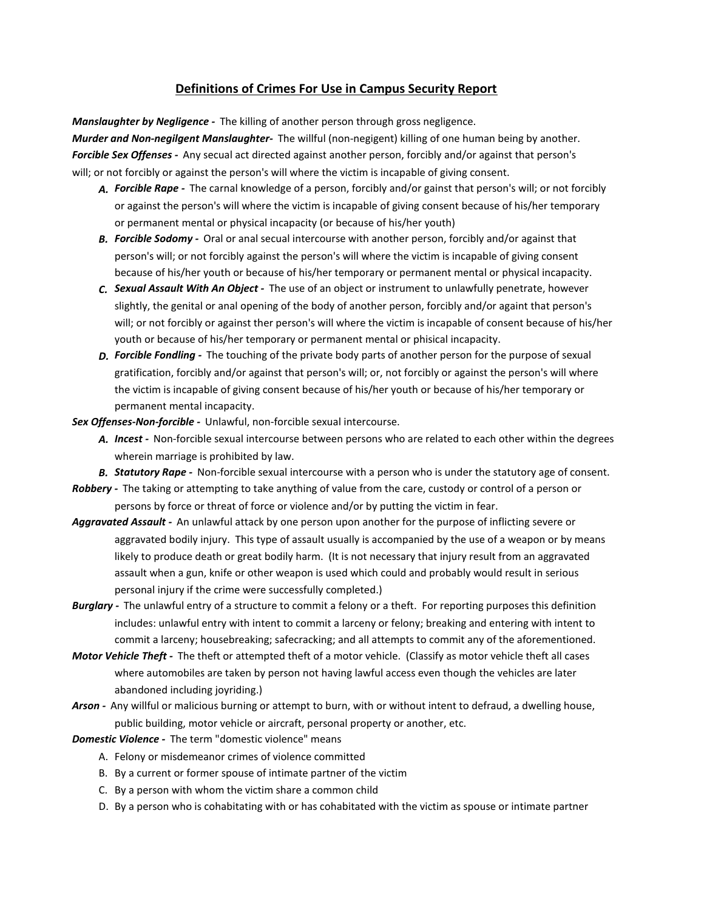## **Definitions of Crimes For Use in Campus Security Report**

*Manslaughter by Negligence -* The killing of another person through gross negligence.

*Murder and Non-negilgent Manslaughter-* The willful (non-negigent) killing of one human being by another. *Forcible Sex Offenses -* Any secual act directed against another person, forcibly and/or against that person's will; or not forcibly or against the person's will where the victim is incapable of giving consent.

- *A. Forcible Rape* The carnal knowledge of a person, forcibly and/or gainst that person's will; or not forcibly or against the person's will where the victim is incapable of giving consent because of his/her temporary or permanent mental or physical incapacity (or because of his/her youth)
- *B. Forcible Sodomy* Oral or anal secual intercourse with another person, forcibly and/or against that person's will; or not forcibly against the person's will where the victim is incapable of giving consent because of his/her youth or because of his/her temporary or permanent mental or physical incapacity.
- *C. Sexual Assault With An Object* The use of an object or instrument to unlawfully penetrate, however slightly, the genital or anal opening of the body of another person, forcibly and/or againt that person's will; or not forcibly or against ther person's will where the victim is incapable of consent because of his/her youth or because of his/her temporary or permanent mental or phisical incapacity.
- *D. Forcible Fondling* The touching of the private body parts of another person for the purpose of sexual gratification, forcibly and/or against that person's will; or, not forcibly or against the person's will where the victim is incapable of giving consent because of his/her youth or because of his/her temporary or permanent mental incapacity.
- *Sex Offenses-Non-forcible* Unlawful, non-forcible sexual intercourse.
	- *A. Incest* Non-forcible sexual intercourse between persons who are related to each other within the degrees wherein marriage is prohibited by law.
	- *B. Statutory Rape* Non-forcible sexual intercourse with a person who is under the statutory age of consent.
- *Robbery* The taking or attempting to take anything of value from the care, custody or control of a person or persons by force or threat of force or violence and/or by putting the victim in fear.
- *Aggravated Assault* An unlawful attack by one person upon another for the purpose of inflicting severe or aggravated bodily injury. This type of assault usually is accompanied by the use of a weapon or by means likely to produce death or great bodily harm. (It is not necessary that injury result from an aggravated assault when a gun, knife or other weapon is used which could and probably would result in serious personal injury if the crime were successfully completed.)
- *Burglary* The unlawful entry of a structure to commit a felony or a theft. For reporting purposes this definition includes: unlawful entry with intent to commit a larceny or felony; breaking and entering with intent to commit a larceny; housebreaking; safecracking; and all attempts to commit any of the aforementioned.
- *Motor Vehicle Theft* The theft or attempted theft of a motor vehicle. (Classify as motor vehicle theft all cases where automobiles are taken by person not having lawful access even though the vehicles are later abandoned including joyriding.)
- *Arson* Any willful or malicious burning or attempt to burn, with or without intent to defraud, a dwelling house, public building, motor vehicle or aircraft, personal property or another, etc.
- *Domestic Violence* The term "domestic violence" means
	- A. Felony or misdemeanor crimes of violence committed
	- B. By a current or former spouse of intimate partner of the victim
	- C. By a person with whom the victim share a common child
	- D. By a person who is cohabitating with or has cohabitated with the victim as spouse or intimate partner